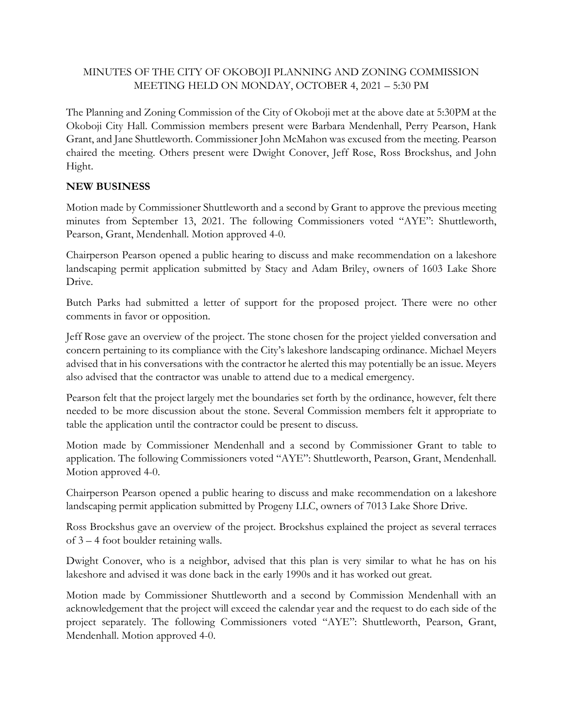## MINUTES OF THE CITY OF OKOBOJI PLANNING AND ZONING COMMISSION MEETING HELD ON MONDAY, OCTOBER 4, 2021 – 5:30 PM

The Planning and Zoning Commission of the City of Okoboji met at the above date at 5:30PM at the Okoboji City Hall. Commission members present were Barbara Mendenhall, Perry Pearson, Hank Grant, and Jane Shuttleworth. Commissioner John McMahon was excused from the meeting. Pearson chaired the meeting. Others present were Dwight Conover, Jeff Rose, Ross Brockshus, and John Hight.

## **NEW BUSINESS**

Motion made by Commissioner Shuttleworth and a second by Grant to approve the previous meeting minutes from September 13, 2021. The following Commissioners voted "AYE": Shuttleworth, Pearson, Grant, Mendenhall. Motion approved 4-0.

Chairperson Pearson opened a public hearing to discuss and make recommendation on a lakeshore landscaping permit application submitted by Stacy and Adam Briley, owners of 1603 Lake Shore Drive.

Butch Parks had submitted a letter of support for the proposed project. There were no other comments in favor or opposition.

Jeff Rose gave an overview of the project. The stone chosen for the project yielded conversation and concern pertaining to its compliance with the City's lakeshore landscaping ordinance. Michael Meyers advised that in his conversations with the contractor he alerted this may potentially be an issue. Meyers also advised that the contractor was unable to attend due to a medical emergency.

Pearson felt that the project largely met the boundaries set forth by the ordinance, however, felt there needed to be more discussion about the stone. Several Commission members felt it appropriate to table the application until the contractor could be present to discuss.

Motion made by Commissioner Mendenhall and a second by Commissioner Grant to table to application. The following Commissioners voted "AYE": Shuttleworth, Pearson, Grant, Mendenhall. Motion approved 4-0.

Chairperson Pearson opened a public hearing to discuss and make recommendation on a lakeshore landscaping permit application submitted by Progeny LLC, owners of 7013 Lake Shore Drive.

Ross Brockshus gave an overview of the project. Brockshus explained the project as several terraces of 3 – 4 foot boulder retaining walls.

Dwight Conover, who is a neighbor, advised that this plan is very similar to what he has on his lakeshore and advised it was done back in the early 1990s and it has worked out great.

Motion made by Commissioner Shuttleworth and a second by Commission Mendenhall with an acknowledgement that the project will exceed the calendar year and the request to do each side of the project separately. The following Commissioners voted "AYE": Shuttleworth, Pearson, Grant, Mendenhall. Motion approved 4-0.